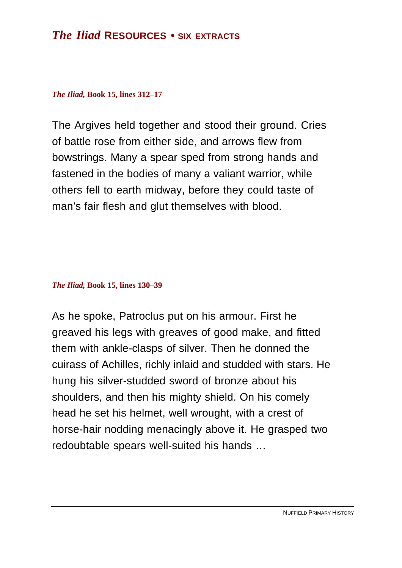# *The Iliad* **RESOURCES • SIX EXTRACTS**

### *The Iliad,* **Book 15, lines 312–17**

The Argives held together and stood their ground. Cries of battle rose from either side, and arrows flew from bowstrings. Many a spear sped from strong hands and fastened in the bodies of many a valiant warrior, while others fell to earth midway, before they could taste of man's fair flesh and glut themselves with blood.

### *The Iliad,* **Book 15, lines 130–39**

As he spoke, Patroclus put on his armour. First he greaved his legs with greaves of good make, and fitted them with ankle-clasps of silver. Then he donned the cuirass of Achilles, richly inlaid and studded with stars. He hung his silver-studded sword of bronze about his shoulders, and then his mighty shield. On his comely head he set his helmet, well wrought, with a crest of horse-hair nodding menacingly above it. He grasped two redoubtable spears well-suited his hands …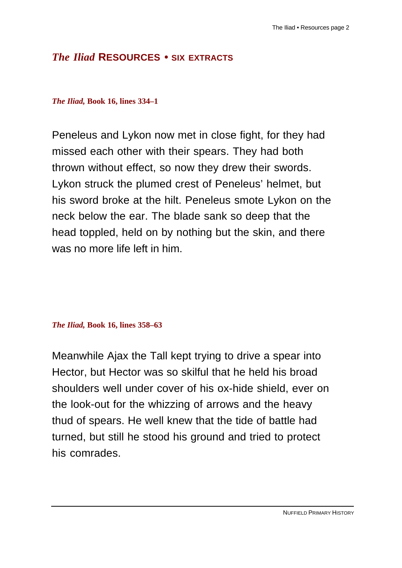## *The Iliad* **RESOURCES • SIX EXTRACTS**

### *The Iliad,* **Book 16, lines 334–1**

Peneleus and Lykon now met in close fight, for they had missed each other with their spears. They had both thrown without effect, so now they drew their swords. Lykon struck the plumed crest of Peneleus' helmet, but his sword broke at the hilt. Peneleus smote Lykon on the neck below the ear. The blade sank so deep that the head toppled, held on by nothing but the skin, and there was no more life left in him.

### *The Iliad,* **Book 16, lines 358–63**

Meanwhile Ajax the Tall kept trying to drive a spear into Hector, but Hector was so skilful that he held his broad shoulders well under cover of his ox-hide shield, ever on the look-out for the whizzing of arrows and the heavy thud of spears. He well knew that the tide of battle had turned, but still he stood his ground and tried to protect his comrades.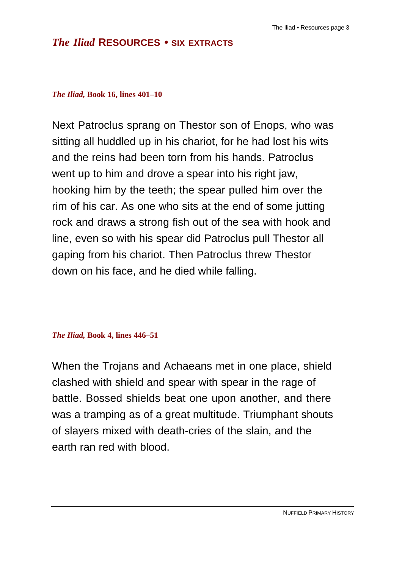### *The Iliad* **RESOURCES • SIX EXTRACTS**

### *The Iliad,* **Book 16, lines 401–10**

Next Patroclus sprang on Thestor son of Enops, who was sitting all huddled up in his chariot, for he had lost his wits and the reins had been torn from his hands. Patroclus went up to him and drove a spear into his right jaw, hooking him by the teeth; the spear pulled him over the rim of his car. As one who sits at the end of some jutting rock and draws a strong fish out of the sea with hook and line, even so with his spear did Patroclus pull Thestor all gaping from his chariot. Then Patroclus threw Thestor down on his face, and he died while falling.

### *The Iliad,* **Book 4, lines 446–51**

When the Trojans and Achaeans met in one place, shield clashed with shield and spear with spear in the rage of battle. Bossed shields beat one upon another, and there was a tramping as of a great multitude. Triumphant shouts of slayers mixed with death-cries of the slain, and the earth ran red with blood.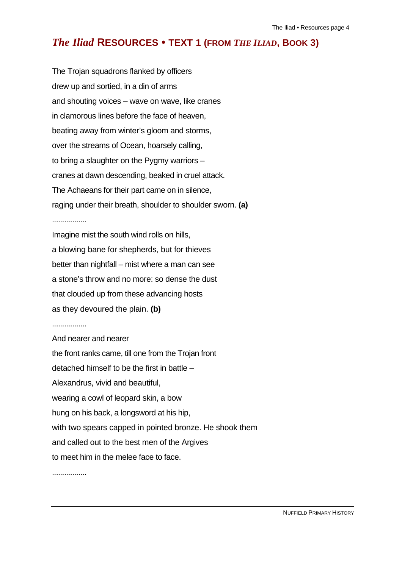### *The Iliad* **RESOURCES • TEXT 1 (FROM** *THE ILIAD***, BOOK 3)**

The Trojan squadrons flanked by officers drew up and sortied, in a din of arms and shouting voices – wave on wave, like cranes in clamorous lines before the face of heaven, beating away from winter's gloom and storms, over the streams of Ocean, hoarsely calling, to bring a slaughter on the Pygmy warriors – cranes at dawn descending, beaked in cruel attack. The Achaeans for their part came on in silence, raging under their breath, shoulder to shoulder sworn. **(a)** ................. Imagine mist the south wind rolls on hills, a blowing bane for shepherds, but for thieves

better than nightfall – mist where a man can see a stone's throw and no more: so dense the dust that clouded up from these advancing hosts as they devoured the plain. **(b)**

.................

And nearer and nearer the front ranks came, till one from the Trojan front detached himself to be the first in battle – Alexandrus, vivid and beautiful, wearing a cowl of leopard skin, a bow hung on his back, a longsword at his hip, with two spears capped in pointed bronze. He shook them and called out to the best men of the Argives to meet him in the melee face to face.

.................